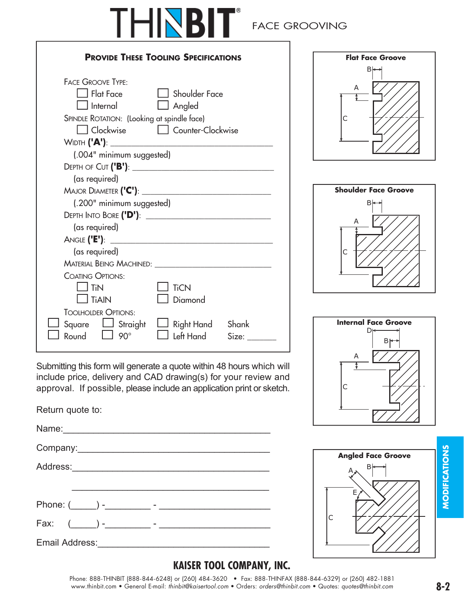

### FACE GROOVING

| <b>PROVIDE THESE TOOLING SPECIFICATIONS</b>                                                                                                                                   |                                                            |  |
|-------------------------------------------------------------------------------------------------------------------------------------------------------------------------------|------------------------------------------------------------|--|
| <b>FACE GROOVE TYPE:</b><br>$\Box$ Flat Face<br>l Internal<br>SPINDLE ROTATION: (Looking at spindle face)<br>Clockwise<br>Width <b>('A')</b> : ______________________________ | <b>Shoulder Face</b><br>$\Box$ Angled<br>Counter-Clockwise |  |
| (.004" minimum suggested)                                                                                                                                                     |                                                            |  |
| (as required)<br>Major Diameter <b>('C')</b> : ________                                                                                                                       |                                                            |  |
| (.200" minimum suggested)                                                                                                                                                     | Depth Into Bore ('D'): _________________________________   |  |
| (as required)                                                                                                                                                                 |                                                            |  |
| (as required)                                                                                                                                                                 | MATERIAL BEING MACHINED: _____________________________     |  |
| <b>COATING OPTIONS:</b><br>$\perp$ TiN<br>$\overline{\phantom{a}}$ TiAIN<br><b>TOOLHOLDER OPTIONS:</b>                                                                        | <b>TiCN</b><br>Diamond                                     |  |
| Square<br>$\Box$ Straight<br>Round<br>$90^\circ$                                                                                                                              | Right Hand Shank<br>Left Hand<br>Size:                     |  |

Submitting this form will generate a quote within 48 hours which will include price, delivery and CAD drawing(s) for your review and approval. If possible, please include an application print or sketch.

Return quote to:

Name:\_\_\_\_\_\_\_\_\_\_\_\_\_\_\_\_\_\_\_\_\_\_\_\_\_\_\_\_\_\_\_\_\_\_\_\_\_\_\_\_\_

Company:\_\_\_\_\_\_\_\_\_\_\_\_\_\_\_\_\_\_\_\_\_\_\_\_\_\_\_\_\_\_\_\_\_\_\_\_\_\_

Address:\_\_\_\_\_\_\_\_\_\_\_\_\_\_\_\_\_\_\_\_\_\_\_\_\_\_\_\_\_\_\_\_\_\_\_\_\_\_\_

Phone: (\_\_\_\_\_) -\_\_\_\_\_\_\_\_\_ - \_\_\_\_\_\_\_\_\_\_\_\_\_\_\_\_\_\_\_\_\_\_

Fax: (\_\_\_\_\_) -\_\_\_\_\_\_\_\_\_ - \_\_\_\_\_\_\_\_\_\_\_\_\_\_\_\_\_\_\_\_\_\_

Email Address:\_\_\_\_\_\_\_\_\_\_\_\_\_\_\_\_\_\_\_\_\_\_\_\_\_\_\_\_\_\_\_\_\_\_









#### **KAISER TOOL COMPANY, INC.**

Phone: 888-THINBIT (888-844-6248) or (260) 484-3620 • Fax: 888-THINFAX (888-844-6329) or (260) 482-1881<br>www.thinbit.com • General E-mail: thinbit@kaisertool.com • Orders: orders@thinbit.com • Quotes: quotes@thinbit.com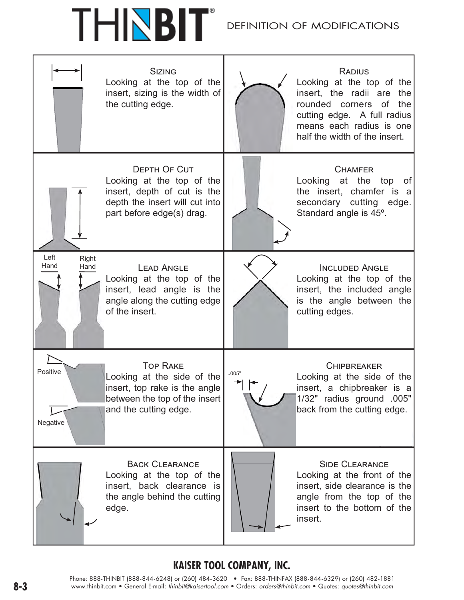# THNBIT

#### DEFINITION OF MODIFICATIONS



#### **KAISER TOOL COMPANY, INC.**

Phone: 888-THINBIT (888-844-6248) or (260) 484-3620 • Fax: 888-THINFAX (888-844-6329) or (260) 482-1881 **8-3** www.thinbit.com • General E-mail: *thinbit@kaisertool.com* • Orders: *orders@thinbit.com* • Quotes: *quotes@thinbit.com*